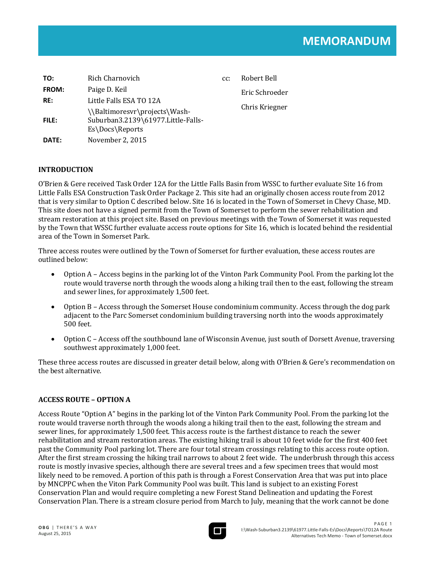| TO:                 | Rich Charnovich                                                                                                   | $CC$ : | Robert Bell    |
|---------------------|-------------------------------------------------------------------------------------------------------------------|--------|----------------|
| FROM:               | Paige D. Keil                                                                                                     |        | Eric Schroeder |
| RE:<br><b>FILE:</b> | Little Falls ESA TO 12A<br>\\Baltimoresvr\projects\Wash-<br>Suburban3.2139\61977.Little-Falls-<br>Es\Docs\Reports |        | Chris Kriegner |
| DATE:               | November 2, 2015                                                                                                  |        |                |

# **INTRODUCTION**

O'Brien & Gere received Task Order 12A for the Little Falls Basin from WSSC to further evaluate Site 16 from Little Falls ESA Construction Task Order Package 2. This site had an originally chosen access route from 2012 that is very similar to Option C described below. Site 16 is located in the Town of Somerset in Chevy Chase, MD. This site does not have a signed permit from the Town of Somerset to perform the sewer rehabilitation and stream restoration at this project site. Based on previous meetings with the Town of Somerset it was requested by the Town that WSSC further evaluate access route options for Site 16, which is located behind the residential area of the Town in Somerset Park.

Three access routes were outlined by the Town of Somerset for further evaluation, these access routes are outlined below:

- Option A Access begins in the parking lot of the Vinton Park Community Pool. From the parking lot the route would traverse north through the woods along a hiking trail then to the east, following the stream and sewer lines, for approximately 1,500 feet.
- Option B Access through the Somerset House condominium community. Access through the dog park adjacent to the Parc Somerset condominium building traversing north into the woods approximately 500 feet.
- Option C Access off the southbound lane of Wisconsin Avenue, just south of Dorsett Avenue, traversing southwest approximately 1,000 feet.

These three access routes are discussed in greater detail below, along with O'Brien & Gere's recommendation on the best alternative.

### **ACCESS)ROUTE)Ȃ OPTION)A**

Access Route "Option A" begins in the parking lot of the Vinton Park Community Pool. From the parking lot the route would traverse north through the woods along a hiking trail then to the east, following the stream and sewer lines, for approximately 1,500 feet. This access route is the farthest distance to reach the sewer rehabilitation and stream restoration areas. The existing hiking trail is about 10 feet wide for the first 400 feet past the Community Pool parking lot. There are four total stream crossings relating to this access route option. After the first stream crossing the hiking trail narrows to about 2 feet wide. The underbrush through this access route is mostly invasive species, although there are several trees and a few specimen trees that would most likely need to be removed. A portion of this path is through a Forest Conservation Area that was put into place by MNCPPC when the Viton Park Community Pool was built. This land is subject to an existing Forest Conservation Plan and would require completing a new Forest Stand Delineation and updating the Forest Conservation Plan. There is a stream closure period from March to July, meaning that the work cannot be done

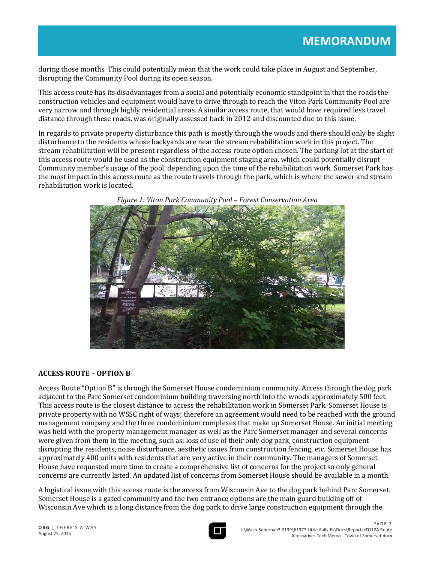during those months. This could potentially mean that the work could take place in August and September, disrupting the Community Pool during its open season.

This access route has its disadvantages from a social and potentially economic standpoint in that the roads the construction vehicles and equipment would have to drive through to reach the Viton Park Community Pool are very narrow and through highly residential areas. A similar access route, that would have required less travel distance through these roads, was originally assessed back in 2012 and discounted due to this issue.

In regards to private property disturbance this path is mostly through the woods and there should only be slight disturbance to the residents whose backyards are near the stream rehabilitation work in this project. The stream rehabilitation will be present regardless of the access route option chosen. The parking lot at the start of this access route would be used as the construction equipment staging area, which could potentially disrupt Community member's usage of the pool, depending upon the time of the rehabilitation work. Somerset Park has the most impact in this access route as the route travels through the park, which is where the sewer and stream rehabilitation work is located.





### **ACCESS)ROUTE)Ȃ OPTION)B**

Access Route "Option B" is through the Somerset House condominium community. Access through the dog park adjacent to the Parc Somerset condominium building traversing north into the woods approximately 500 feet. This access route is the closest distance to access the rehabilitation work in Somerset Park. Somerset House is private property with no WSSC right of ways; therefore an agreement would need to be reached with the ground management company and the three condominium complexes that make up Somerset House. An initial meeting was held with the property management manager as well as the Parc Somerset manager and several concerns were given from them in the meeting, such as; loss of use of their only dog park, construction equipment disrupting the residents, noise disturbance, aesthetic issues from construction fencing, etc. Somerset House has approximately 400 units with residents that are very active in their community. The managers of Somerset House have requested more time to create a comprehensive list of concerns for the project so only general concerns are currently listed. An updated list of concerns from Somerset House should be available in a month.

A logistical issue with this access route is the access from Wisconsin Ave to the dog park behind Parc Somerset. Somerset House is a gated community and the two entrance options are the main guard building off of Wisconsin Ave which is a long distance from the dog park to drive large construction equipment through the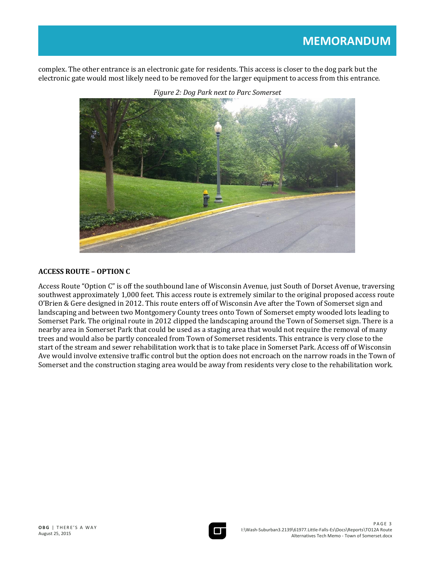complex. The other entrance is an electronic gate for residents. This access is closer to the dog park but the electronic gate would most likely need to be removed for the larger equipment to access from this entrance.



Figure 2: Dog Park next to Parc Somerset

# **ACCESS ROUTE - OPTION C**

Access Route "Option C" is off the southbound lane of Wisconsin Avenue, just South of Dorset Avenue, traversing southwest approximately 1,000 feet. This access route is extremely similar to the original proposed access route O'Brien & Gere designed in 2012. This route enters off of Wisconsin Ave after the Town of Somerset sign and landscaping and between two Montgomery County trees onto Town of Somerset empty wooded lots leading to Somerset Park. The original route in 2012 clipped the landscaping around the Town of Somerset sign. There is a nearby area in Somerset Park that could be used as a staging area that would not require the removal of many trees and would also be partly concealed from Town of Somerset residents. This entrance is very close to the start of the stream and sewer rehabilitation work that is to take place in Somerset Park. Access off of Wisconsin Ave would involve extensive traffic control but the option does not encroach on the narrow roads in the Town of Somerset and the construction staging area would be away from residents very close to the rehabilitation work.